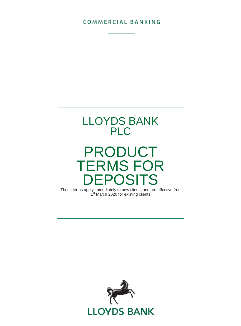### **COMMERCIAL BANKING**



# PRODUCT TERMS FOR DEPOSITS

These terms apply immediately to new clients and are effective from 1<sup>st</sup> March 2020 for existing clients

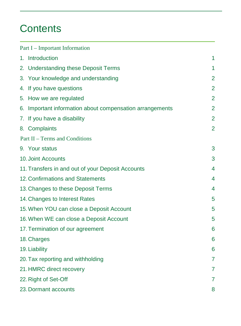## **Contents**

| Part I - Important Information                           |                |
|----------------------------------------------------------|----------------|
| 1. Introduction                                          | 1              |
| 2. Understanding these Deposit Terms                     | 1              |
| 3. Your knowledge and understanding                      | $\overline{2}$ |
| 4. If you have questions                                 | $\overline{2}$ |
| 5. How we are regulated                                  | $\overline{2}$ |
| 6. Important information about compensation arrangements | $\overline{2}$ |
| 7. If you have a disability                              | 2              |
| 8. Complaints                                            | $\overline{2}$ |
| Part II - Terms and Conditions                           |                |
| 9. Your status                                           | 3              |
| 10. Joint Accounts                                       | 3              |
| 11. Transfers in and out of your Deposit Accounts        | 4              |
| 12. Confirmations and Statements                         | 4              |
| 13. Changes to these Deposit Terms                       | 4              |
| 14. Changes to Interest Rates                            | 5              |
| 15. When YOU can close a Deposit Account                 | 5              |
| 16. When WE can close a Deposit Account                  | 5              |
| 17. Termination of our agreement                         | 6              |
| 18. Charges                                              | 6              |
| 19. Liability                                            | 6              |
| 20. Tax reporting and withholding                        | $\overline{7}$ |
| 21. HMRC direct recovery                                 | $\overline{7}$ |
| 22. Right of Set-Off                                     | $\overline{7}$ |
| 23. Dormant accounts                                     | 8              |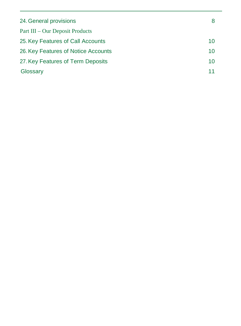| 24. General provisions              | 8  |
|-------------------------------------|----|
| Part III – Our Deposit Products     |    |
| 25. Key Features of Call Accounts   | 10 |
| 26. Key Features of Notice Accounts | 10 |
| 27. Key Features of Term Deposits   | 10 |
| Glossary                            |    |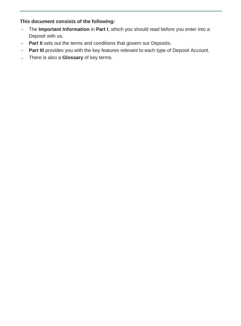### **This document consists of the following:**

- The Important Information in Part I, which you should read before you enter into a Deposit with us.
- Part II sets out the terms and conditions that govern our Deposits.
- Part III provides you with the key features relevant to each type of Deposit Account.
- There is also a **Glossary** of key terms.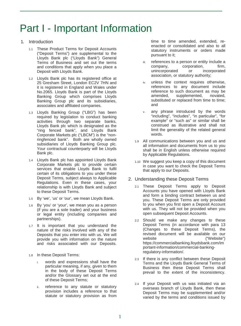## Part I - Important Information

#### 1. Introduction

- 1.1 These Product Terms for Deposit Accounts ("Deposit Terms") are supplemental to the Lloyds Bank plc ("Lloyds Bank") General Terms of Business and set out the terms and conditions that apply when you place a Deposit with Lloyds Bank.
- 1.2 Lloyds Bank plc has its registered office at 25 Gresham Street, London EC2V 7HN and it is registered in England and Wales under No.2065. Lloyds Bank is part of the Lloyds Banking Group which comprises Lloyds Banking Group plc and its subsidiaries, associates and affiliated companies.
- 1.3 Lloyds Banking Group ("LBG") has been required by legislation to conduct banking activities through two separate banks, Lloyds Bank plc which is designated as the "ring fenced bank", and Lloyds Bank Corporate Markets plc ("LBCM") is the "nonringfenced bank". Both are wholly owned subsidiaries of Lloyds Banking Group plc. Your contractual counterparty will be Lloyds Bank plc.
- 1.4 Lloyds Bank plc has appointed Lloyds Bank Corporate Markets plc to provide certain services that enable Lloyds Bank to fulfil certain of its obligations to you under these Deposit Terms, subject always to Applicable Regulations. Even in these cases, your relationship is with Lloyds Bank and subject to these Deposit Terms.
- 1.5 By 'we', 'us' or 'our', we mean Lloyds Bank.
- 1.6 By 'you' or 'your', we mean you as a person (if you are a sole trader) and your business or legal entity (including companies and partnerships).
- 1.7 It is important that you understand the nature of the risks involved with any of the Deposits that you enter into with us. We will provide you with information on the nature and risks associated with our Deposits.
- 1.8 In these Deposit Terms:
	- i. words and expressions shall have the particular meaning, if any, given to them in the body of these Deposit Terms and/or the Glossary set out at the end of these Deposit Terms;
	- ii. reference to any statute or statutory provision includes a reference to that statute or statutory provision as from

time to time amended, extended, reenacted or consolidated and also to all statutory instruments or orders made pursuant to it;

- iii. references to a person or entity include a<br>company. corporation. firm. company, corporation,<br>unincorporated or in incorporated association, or statutory authority;
- iv. unless the context requires otherwise, references to any document include reference to such document as may be amended, supplemented, novated, supplemented, substituted or replaced from time to time; and
- v. any phrase introduced by the words "including", "includes", "in particular", "for example" or "such as" or similar shall be construed as illustrative and shall not limit the generality of the related general words.
- 1.9 All communications between you and us and all information and documents from us to you shall be in English unless otherwise required by Applicable Regulations.
- 1.10 We suggest you keep a copy of this document in case you want to check the Deposit Terms that apply to our Deposits.
- 2. Understanding these Deposit Terms
	- 2.1 These Deposit Terms apply to Deposit Accounts you have opened with Lloyds Bank and form a binding contract between us and you. These Deposit Terms are only provided to you when you first open a Deposit Account with us. They will not be provided when you open subsequent Deposit Accounts.
	- 2.2 Should we make any changes to these Deposit Terms (in accordance with para 13 (Changes to these Deposit Terms), the revised document will be available on our website ("Website") https://commercialbanking.lloydsbank.com/im portant-information/commercial-bankingregulatory-information/.
	- 2.3 If there is any conflict between these Deposit Terms and the Lloyds Bank General Terms of Business then these Deposit Terms shall prevail to the extent of the inconsistency.
	- 2.4 If your Deposit with us was initiated via an overseas branch of Lloyds Bank, then these Deposit Terms may be supplemented and/or varied by the terms and conditions issued by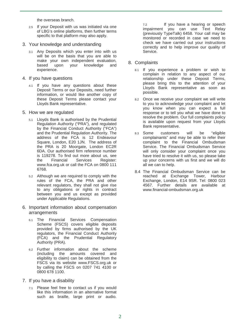the overseas branch.

- 2.5 If your Deposit with us was initiated via one of LBG's online platforms, then further terms specific to that platform may also apply.
- 3. Your knowledge and understanding
	- 3.1 Any Deposits which you enter into with us will be on the basis that you are able to make your own independent evaluation, based upon your knowledge and experience.
- 4. If you have questions
	- 4.1 If you have any questions about these Deposit Terms or our Deposits, need further information, or would like another copy of these Deposit Terms please contact your Lloyds Bank representative.
- 5. How we are regulated
	- 5.1 Lloyds Bank is authorised by the Prudential Regulation Authority ("PRA"), and regulated by the Financial Conduct Authority ("FCA") and the Prudential Regulation Authority. The address of the FCA is 12 Endeavour Square, London, E20 1JN. The address of the PRA is 20 Moorgate, London EC2R 6DA. Our authorised firm reference number is 119278. To find out more about us, see<br>the Financial Services Register: Financial Services www.fca.org.uk or call the FCA on 0800 111 6768.
	- 5.2 Although we are required to comply with the rules of the FCA, the PRA and other relevant regulators, they shall not give rise to any obligations or rights in contract between you and us except as provided under Applicable Regulations.
- 6. Important information about compensation arrangements
	- 6.1 The Financial Services Compensation Scheme (FSCS) covers eligible deposits provided by firms authorised by the UK regulators, the Financial Conduct Authority (FCA) and the Prudential Regulatory Authority (PRA).
	- 6.2 Further information about the scheme (including the amounts covered and eligibility to claim) can be obtained from the FSCS via its website www.FSCS.org.uk or by calling the FSCS on 0207 741 4100 or 0800 678 1100.
- 7. If you have a disability
	- 7.1 Please feel free to contact us if you would like this information in an alternative format such as braille, large print or audio.

7.2 If you have a hearing or speech impairment you can use Text Relay (previously TypeTalk) 6458. Your call may be monitored or recorded in case we need to check we have carried out your instructions correctly and to help improve our quality of Service.

- 8. Complaints
	- 8.1 If you experience a problem or wish to complain in relation to any aspect of our relationship under these Deposit Terms, please bring this to the attention of your Lloyds Bank representative as soon as possible.
	- 8.2 Once we receive your complaint we will write to you to acknowledge your complaint and let you know when you can expect a full response or to tell you what we have done to resolve the problem. Our full complaints policy is available upon request from your Lloyds Bank representative.
	- 8.3 Some customers will be "eligible complainants" and may be able to refer their complaint to the Financial Ombudsman Service. The Financial Ombudsman Service will only consider your complaint once you have tried to resolve it with us, so please take up your concerns with us first and we will do all we can to help.
	- 8.4 The Financial Ombudsman Service can be reached at Exchange Tower, Harbour Exchange, London, E14 9SR. Tel: 0800 023 4567. Further details are available at www.financial-ombudsman.org.uk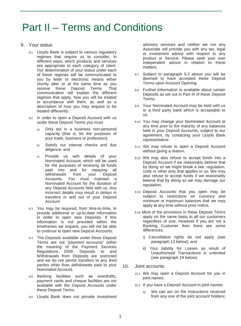### Part II – Terms and Conditions

- 9. Your status
	- 9.1 Lloyds Bank is subject to various regulatory regimes that require us to consider, in different ways, which products and services are appropriate to each category of client. Our determination of your status under each of these regimes will be communicated to you by letter or electronic means either shortly after or at the same time as you receive these Deposit Terms. That receive these Deposit Terms. communication will explain the different regimes that apply, how you will be treated in accordance with them, as well as a description of how you may request to be treated differently.
	- 9.2 In order to open a Deposit Account with us under these Deposit Terms you must
		- a) Only act in a business non-personal capacity (that is, for the purposes of your trade, business or profession);
		- b) Satisfy our internal checks and due diligence; and
		- c) Provide us with details of your Nominated Account, which will be used for the purposes of receiving all funds paid into and for repaying all<br>withdrawals from your Deposit withdrawals from your Accounts. You must maintain a Nominated Account for the duration of any Deposit Accounts held with us. Any incorrect details may result in delays in transfers in and out of your Deposit Account
	- 9.3 You may be required, from time-to-time, to provide additional or up-to-date information in order to open new Deposits. If this information is not provided within the timeframes we request, you will not be able to continue to open new Deposit Accounts.
	- 9.4 The Deposits available under these Deposit Terms are not "payment accounts" within the meaning of the Payment Services Regulations 2009. Deposits to and Withdrawals from Deposits are restricted and we do not permit transfers to any third parties other than withdrawals paid to your Nominated Account.
	- 9.5 Banking facilities such as overdrafts, payment cards and cheque facilities are not available with the Deposit Accounts under these Deposit Terms.
	- 9.6 Lloyds Bank does not provide investment

advisory services and neither we nor any Associate will provide you with any tax, legal or investment advice with respect to any product or Service. Please seek your own independent advice in relation to these matters.

- 9.7 Subject to paragraph 9.2 above you will be deemed to have accepted these Deposit Terms upon Account Opening.
- 9.8 Further information is available about certain Deposits as set out in Part III of these Deposit Terms.
- 9.9 Your Nominated Account may be held with us or a third party bank which is acceptable to us.
- 9.10 You may change your Nominated Account at any time prior to the maturity of any balances held in your Deposit Accounts, subject to our agreement, by contacting your Lloyds Bank representative.
- 9.11 We may refuse to open a Deposit Account without giving a reason.
- 9.12 We may also refuse to accept funds into a Deposit Account if we reasonably believe that by doing so we might break a law, regulation, code or other duty that applies to us. We may also refuse to accept funds if we reasonably believe that by doing so we may damage our reputation.
- 9.13 Deposit Accounts that you open may be subject to restrictions on currency and minimum or maximum balances that we may apply at any time without prior notice.
- 9.14 Most of the provisions in these Deposit Terms apply on the same basis to all our customers regardless of size. However if you are not a Banking Customer then there are some differences:
	- i) Cancellation rights do not apply (see paragraph 13 below); and
	- ii) Your liability for Losses as result of Unauthorised Transactions is unlimited (see paragraph 19 below).
- 10. Joint accounts
	- 10.1 We may open a Deposit Account for you in joint names.
	- 10.2 If you have a Deposit Account in joint names:
		- a) We can act on the instructions received from any one of the joint account holders;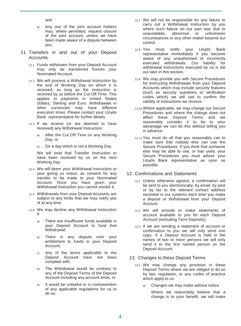and

- b) Any one of the joint account holders may, where permitted, request closure of the joint account, unless we have been made aware of a dispute between you.
- 11. Transfers in and out of your Deposit Accounts
	- 11.1 Funds withdrawn from your Deposit Account may only be transferred from/to your Nominated Account.
	- 11.2 We will process a Withdrawal Instruction by the end of Working Day on which it is received, as long as the instruction is received by us before the Cut Off Time. This applies to payments in United States Dollars, Sterling and Euro. Withdrawals in other currencies may have different execution times. Please contact your Lloyds Bank representative for further details.
	- 11.3 If we receive (or are deemed to have received) any Withdrawal Instruction:
		- a) After the Cut Off Time on any Working Day; or
		- b) On a day which is not a Working Day.

We will treat that Transfer Instruction to have been received by us on the next Working Day.

- 11.4 We will deem your Withdrawal Instruction or your giving us notice, as consent for any transfer to be made to your Nominated Account. Once you have given your Withdrawal Instruction you cannot revoke it.
- 11.5 Withdrawals from your Deposit Accounts are subject to any limits that we may notify you of at any time.
- 11.6 We may decline any Withdrawal Instruction if:
	- a) There are insufficient funds available in your Deposit Account to fund that Withdrawal;
	- b) There is any dispute over your entitlement to funds in your Deposit Account;
	- c) Any of the terms applicable to the Deposit Account have not been complied with;
	- d) The Withdrawal would be contrary to any of the Deposit Terms of the Deposit Account including any account limits; or
	- e) It would be unlawful or in contravention of any applicable regulations for us to do so.
- 11.7 We will not be responsible for any failure to carry out a Withdrawal Instruction by you where such failure on our part was due to unavoidable, abnormal or unforeseen circumstances or any other matter beyond our control.
- 11.8 You must notify your Lloyds Bank representative immediately if you become aware of any unauthorised or incorrectly executed withdrawals. Our liability for withdrawal instructions executed by us is set out later in this section.
- 11.9 We may provide you with Secure Procedures for instructing Withdrawals from your Deposit Accounts which may include security features (such as security questions or verification codes which) we will use to confirm the validity of instructions we receive.
- 11.10 Where applicable, we may change our Secure Procedures and where the change does not affect these Deposit Terms and we reasonably consider it to be to your advantage we can do this without telling you in advance.
- 11.11 You must do all that you reasonably can to make sure that nobody else can use the Secure Procedures. If you think that someone else may be able to use, or has used, your Secure Procedures you must advise your Lloyds Bank representative as soon as possible.

#### 12. Confirmations and Statements

- 12.1 Unless otherwise agreed, a confirmation will be sent to you electronically, by email, by post or by fax to the relevant contact address recorded in our systems each time you make a deposit or Withdrawal from your Deposit Account.
- 12.2 We will provide or make statements of account available to you for each Deposit Account (excluding Term Deposits).
- 12.3 If we are sending a statement of account or confirmation to you we will only send one copy. If a Deposit Account is held in the names of two or more persons we will only send it to the first named person on the Deposit Account.

#### 13. Changes to these Deposit Terms

- 13.1 We may change any provision in these Deposit Terms where we are obliged to do so by law, regulation, or any codes of practice which apply to us.
	- a) Changes we may make without notice

Where we reasonably believe that a change is to your benefit, we will make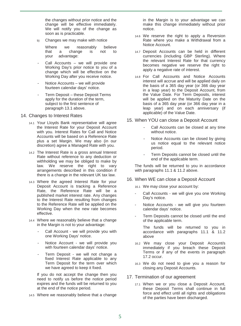the changes without prior notice and the change will be effective immediately. We will notify you of the change as soon as is practicable.

b) Changes we may make with notice

Where we reasonably believe<br>that a change is not to that a change is your advantage:

- Call Accounts we will provide one Working Day's prior notice to you of a change which will be effective on the Working Day after you receive notice.
- Notice Accounts we will provide fourteen calendar days' notice.
- Term Deposit these Deposit Terms apply for the duration of the term, subject to the first sentence of paragraph 13.1 above.
- 14. Changes to Interest Rates
	- 14.1 Your Lloyds Bank representative will agree the Interest Rate for your Deposit Account with you. Interest Rates for Call and Notice Accounts will be based on a Reference Rate plus a set Margin. We may also (in our discretion) agree a Managed Rate with you.
	- 14.2 The Interest Rate is a gross annual Interest Rate without reference to any deduction or withholding we may be obliged to make by law. We reserve the right to vary arrangements described in this condition if there is a change in the relevant UK tax law.
	- 14.3 Where the agreed Interest Rate for your Deposit Account is tracking a Reference Rate, the Reference Rate will be a published market interest rate. Any changes to the Interest Rate resulting from changes to the Reference Rate will be applied on the Working Day when the new rate becomes effective.
	- 14.4 Where we reasonably believe that a change in the Margin is not to your advantage:
		- Call Account we will provide you with one Working Days' notice.
		- Notice Account we will provide you with fourteen calendar days' notice.
		- Term Deposit we will not change a fixed Interest Rate applicable to any Term Deposit for the term over which we have agreed to keep it fixed.

If you do not accept the change then you need to notify us before the notice period expires and the funds will be returned to you at the end of the notice period.

14.5 Where we reasonably believe that a change

in the Margin is to your advantage we can make this change immediately without prior notice.

- 14.6 We reserve the right to apply a Reversion Rate where you make a Withdrawal from a Notice Account.
- 14.7 Deposit Accounts can be held in different currencies (including GBP Sterling). Where the relevant Interest Rate for that currency becomes negative we reserve the right to apply a negative rate of interest.
- 14.8 For Call Accounts and Notice Accounts interest will accrue and will be applied daily on the basis of a 365 day year (or 366 day year in a leap year) to the Deposit Account, from the Value Date. For Term Deposits, interest will be applied on the Maturity Date on the basis of a 365 day year (or 366 day year in a leap year) and on each anniversary (if applicable) of the Value Date.

#### 15. When YOU can close a Deposit Account

- Call Accounts can be closed at any time without notice.
- Notice Accounts can be closed by giving us notice equal to the relevant notice period.
- Term Deposits cannot be closed until the end of the applicable term.

The funds will be returned to you in accordance with paragraphs 11.1 & 11.2 above.

#### 16. When WE can close a Deposit Account

16.1 We may close your account by:

- Call Accounts we will give you one Working Day's notice.
- Notice Accounts we will give you fourteen calendar days' notice.
- Term Deposits cannot be closed until the end of the applicable term.

The funds will be returned to you in accordance with paragraphs 11.1 & 11.2 above

- 16.2 We may close your Deposit Account/s immediately if you breach these Deposit Terms or if any of the events in paragraph 17.2 occur.
- 16.3 We do not need to give you a reason for closing any Deposit Accounts.

#### 17. Termination of our agreement

17.1 When we or you close a Deposit Account, these Deposit Terms shall continue in full force and effect until all rights and obligations of the parties have been discharged.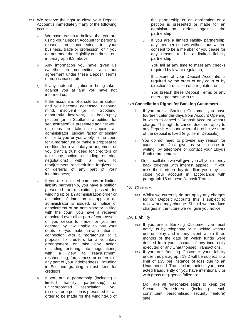- 17.2 We reserve the right to close your Deposit Account/s immediately if any of the following occur:
	- We have reason to believe that you are using your Deposit Account for personal reasons not connected to your business, trade or profession, or if you do not meet the eligibility criteria set out in paragraph 9.3 above;
	- b) Any information you have given us (whether in connection with our agreement under these Deposit Terms or not) is inaccurate;
	- c) If any material litigation is being taken against you at and you have not informed us;
	- d) If the account is of a sole trader status, and you become deceased, unsound mind, insolvent (or in Scotland, apparently insolvent), a bankruptcy petition (or in Scotland, a petition for sequestration) is presented against you, or steps are taken to appoint an administrator, judicial factor or similar officer to you or you apply to the court for a moratorium or make a proposal to creditors for a voluntary arrangement or you grant a trust deed for creditors or take any action (including entering negotiations) with a view to readjustment, rescheduling, forgiveness or deferral of any part of your indebtedness;
	- e) If you are a limited company or limited liability partnership, you have a petition presented or resolution passed for winding up or an administration order or a notice of intention to appoint an administrator is issued, or notice of appointment of an administrator is filed with the court, you have a receiver appointed over all or part of your assets or you cease to trade, or you are deemed by law unable to pay your debts or you make an application in connection with a moratorium or a proposal to creditors for a voluntary arrangement or take any action (including entering into negotiations) with a view to readiustment. rescheduling, forgiveness or deferral of any part of your indebtedness, including in Scotland granting a trust deed for creditors;
	- f) If you are a partnership (including a limited liability partnership) or unincorporated association, dissolve or a petition is presented for an order to be made for the winding-up of

the partnership or an application or a petition is presented or made for an administration order against the partnership;

- g) If you are a limited liability partnership, any member ceases without our written consent to be a member or you cease for any reason to be a limited liability partnership;
- h) You fail at any time to meet any checks required by law or regulation;
- i) If closure of your Deposit Account/s is required by the order of any court or by direction or decision of a regulator; or
- i) You breach these Deposit Terms or any other agreement with us.

#### 17.3 **Cancellation Rights for Banking Customers**

- If you are a Banking Customer you have fourteen calendar days from Account Opening in which to cancel a Deposit Account without charge. This right to cancel does not apply to any Deposit Account where the effective term of the deposit is fixed (e.g. Term Deposits).
- ii. You do not need to provide any reason for cancellation. Just give us your notice in writing, by telephone or contact your Lloyds Bank representative.
- iii. On cancellation we will give you all your money back together with interest applied. If you miss the fourteen day deadline you may still close your account in accordance with paragraph 15 of these Deposit Terms.
- 18. Charges
	- 18.1 Whilst we currently do not apply any charges for our Deposit Accounts this is subject to review and may change. Should we introduce charges in the future we will give you notice.

#### 19. Liability

- 19.1 If you are a Banking Customer you must notify us by telephone or in writing without undue delay and in any event within three months of the date on which funds were debited from your account of any incorrectly executed or any Unauthorised Transactions.
- 19.2 If you are Banking Customer your liability under this paragraph 19.2 will be subject to a limit of £35 per instance of loss due to an Unauthorised Transaction, unless you have acted fraudulently or you have intentionally or with gross negligence failed to:

(A) Take all reasonable steps to keep the Secure Procedures (including each constituent personalised security feature) safe;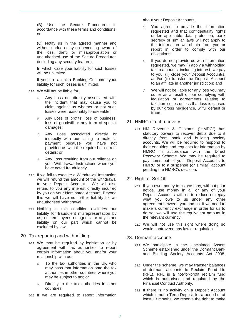(B) Use the Secure Procedures in accordance with these terms and conditions; or

(C) Notify us in the agreed manner and without undue delay on becoming aware of the loss, theft, or misappropriation or unauthorised use of the Secure Procedures (including any security feature),

In which case your liability for such losses will be unlimited.

If you are a not a Banking Customer your liability for such losses is unlimited.

- 19.2 We will not be liable for:
	- a) Any Loss not directly associated with the incident that may cause you to claim against us whether or not such losses were reasonably foreseeable;
	- b) Any Loss of profits, loss of business, loss of goodwill or any form of special damages;
	- c) Any Loss associated directly or indirectly with our failing to make a payment because you have not provided us with the required or correct details; or
	- d) Any Loss resulting from our reliance on your Withdrawal Instructions where you have acted fraudulently.
- 19.3 If we fail to execute a Withdrawal Instruction we will refund the amount of the withdrawal to your Deposit Account. We will also refund to you any interest directly incurred by you on your Nominated Account. Beyond this we will have no further liability for an unauthorised Withdrawal.
- 19.4 Nothing in this condition excludes our liability for fraudulent misrepresentation by us, our employees or agents, or any other liability on our part which cannot be excluded by law.
- 20. Tax reporting and withholding
	- 20.1 We may be required by legislation or by agreement with tax authorities to report certain information about you and/or your relationship with us:
		- a) To the tax authorities in the UK who may pass that information onto the tax authorities in other countries where you may be subject to tax; or
		- b) Directly to the tax authorities in other countries.

20.2 If we are required to report information

about your Deposit Accounts:

- a) You agree to provide the information requested and that confidentiality rights under applicable data protection, bank secrecy or similar laws will not apply to the information we obtain from you or report in order to comply with our obligations;
- b) If you do not provide us with information requested, we may (i) apply a withholding tax to amounts, including interest, we pay to you, (ii) close your Deposit Account/s, and/or (iii) transfer the Deposit Account to an affiliate in another jurisdiction; and
- c) We will not be liable for any loss you may suffer as a result of our complying with legislation or agreements relating to taxation issues unless that loss is caused by our gross negligence, wilful default or fraud.

#### 21. HMRC direct recovery

21.1 HM Revenue & Customs ("HMRC") has statutory powers to recover debts due to it directly from bank and building society accounts. We will be required to respond to their enquiries and requests for information by HMRC in accordance with the Direct Recovery Scheme. We may be required to pay sums out of your Deposit Accounts to HMRC or to a suspense (or similar) account pending the HMRC's decision.

#### 22. Right of Set-Off

- 22.1 If you owe money to us, we may, without prior notice, use money in all or any of your Deposit Accounts with us to reduce or repay what you owe to us under any other agreement between you and us. If we need to make a currency exchange in order for us to do so, we will use the equivalent amount in the relevant currency.
- 22.2 We will not use this right where doing so would contravene any law or regulation.

#### 23. Dormant accounts

- 23.1 We participate in the Unclaimed Assets Scheme established under the Dormant Bank and Building Society Accounts Act 2008.
- 23.2 Under the scheme, we may transfer balances of dormant accounts to Reclaim Fund Ltd (RFL). RFL is a not-for-profit reclaim fund which is authorised and regulated by the Financial Conduct Authority.
- 23.3 If there is no activity on a Deposit Account which is not a Term Deposit for a period of at least 13 months, we reserve the right to make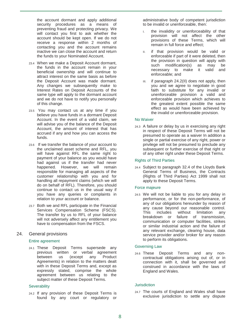the account dormant and apply additional security procedures as a means of preventing fraud and protecting privacy. We will contact you first to ask whether the account should be kept open. If we do not receive a response within 2 months of contacting you and the account remains inactive we can close the account and return the funds to your Nominated Account.

- 23.4 When we make a Deposit Account dormant, the funds in the account remain in your beneficial ownership and will continue to attract interest on the same basis as before the Deposit Account was made dormant. Any changes we subsequently make to Interest Rates on Deposit Accounts of the same type will apply to the dormant account and we do not have to notify you personally of this change.
- 23.5 You may contact us at any time if you believe you have funds in a dormant Deposit Account. In the event of a valid claim, we will advise you of the balance of the Deposit Account, the amount of interest that has accrued if any and how you can access the funds.
- 23.6 If we transfer the balance of your account to the unclaimed asset scheme and RFL, you will have against RFL the same right to payment of your balance as you would have had against us if the transfer had never happened. However, we will remain responsible for managing all aspects of the customer relationship with you and for handling all repayment claims (which we will do on behalf of RFL). Therefore, you should continue to contact us in the usual way if you have any queries or complaints in relation to your account or balance.
- 23.7 Both we and RFL participate in the Financial Services Compensation Scheme (FSCS). The transfer by us to RFL of your balance will not adversely affect any entitlement you have to compensation from the FSCS.
- 24. General provisions

#### Entire agreement

24.1 These Deposit Terms supersede any previous written or verbal agreement between us (except any Product Agreements) in relation to the matters dealt with in these Deposit Terms and, except as expressly stated, comprise the whole agreement between us relating to the subject matter of these Deposit Terms.

#### **Severability**

24.2 If any provision of these Deposit Terms is found by any court or regulatory or administrative body of competent jurisdiction to be invalid or unenforceable, then:

- I. the invalidity or unenforceability of that provision will not affect the other provisions of these Terms, which will remain in full force and effect;
- II. if that provision would be valid or enforceable if part of it were deleted, then the provision in question will apply with such modification(s) as may be necessary to make it valid and enforceable; and
- III. if paragraph 24.2(II) does not apply, then you and we agree to negotiate in good faith to substitute for any invalid or unenforceable provision a valid and enforceable provision which achieves to the greatest extent possible the same effect as would have been achieved by the invalid or unenforceable provision.

#### No Waiver

24.3 A failure or delay by us in exercising any right in respect of these Deposit Terms will not be presumed to operate as a waiver In addition a single or partial exercise of any right, power or privilege will not be presumed to preclude any subsequent or further exercise of that right or of any other right under these Deposit Terms.

#### Rights of Third Parties

24.4 Subject to paragraph 32.4 of the Lloyds Bank General Terms of Business, the Contracts (Rights of Third Parties) Act 1999 shall not apply to these Deposit Terms.

#### Force majeure

24.5 We will not be liable to you for any delay in performance, or for the non-performance, of any of our obligations hereunder by reason of any cause beyond our reasonable control. This includes without limitation any breakdown or failure of transmission, communication or computer facilities, strikes or similar industrial action and the failure of any relevant exchange, clearing house, data service provider and/or broker for any reason to perform its obligations.

#### Governing Law

24.6 These Deposit Terms and any noncontractual obligations arising out of, or in connection with it, shall be governed and construed in accordance with the laws of England and Wales.

#### Jurisdiction

24.7 The courts of England and Wales shall have exclusive jurisdiction to settle any dispute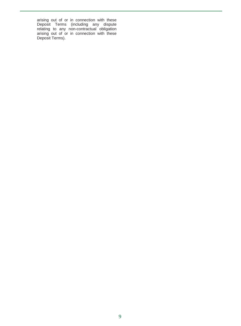arising out of or in connection with these Deposit Terms (including any dispute relating to any non-contractual obligation arising out of or in connection with these Deposit Terms).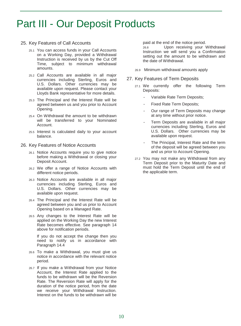### Part III - Our Deposit Products

#### 25. Key Features of Call Accounts

- 25.1 You can access funds in your Call Accounts on a Working Day, provided a Withdrawal Instruction is received by us by the Cut Off Time, subject to minimum withdrawal amounts.
- 25.2 Call Accounts are available in all major currencies including Sterling, Euros and U.S. Dollars. Other currencies may be available upon request. Please contact your Lloyds Bank representative for more details.
- 25.3 The Principal and the Interest Rate will be agreed between us and you prior to Account Opening.
- 25.4 On Withdrawal the amount to be withdrawn will be transferred to your Nominated Account.
- 25.5 Interest is calculated daily to your account balance.
- 26. Key Features of Notice Accounts
	- 26.1 Notice Accounts require you to give notice before making a Withdrawal or closing your Deposit Account.
	- 26.2 We offer a range of Notice Accounts with different notice periods.
	- 26.3 Notice Accounts are available in all major currencies including Sterling, Euros and U.S. Dollars. Other currencies may be available upon request.
	- 26.4 The Principal and the Interest Rate will be agreed between you and us prior to Account Opening based on a Managed Rate.
	- 26.5 Any changes to the Interest Rate will be applied on the Working Day the new Interest Rate becomes effective. See paragraph 14 above for notification periods.

If you do not accept the change then you need to notify us in accordance with Paragraph 14.4

- 26.6 To make a Withdrawal, you must give us notice in accordance with the relevant notice period.
- 26.7 If you make a Withdrawal from your Notice Account, the Interest Rate applied to the funds to be withdrawn will be the Reversion Rate. The Reversion Rate will apply for the duration of the notice period, from the date we receive your Withdrawal Instruction. Interest on the funds to be withdrawn will be

paid at the end of the notice period.<br>26.8 Upon receiving your

Upon receiving your Withdrawal Instruction we will send you a Confirmation setting out the amount to be withdrawn and the date of Withdrawal.

- 26.9 Minimum withdrawal amounts apply
- 27. Key Features of Term Deposits
	- 27.1 We currently offer the following Term Deposits:
		- Variable Rate Term Deposits;
		- Fixed Rate Term Deposits;
		- Our range of Term Deposits may change at any time without prior notice.
		- Term Deposits are available in all major currencies including Sterling, Euros and U.S. Dollars. Other currencies may be available upon request.
		- The Principal, Interest Rate and the term of the deposit will be agreed between you and us prior to Account Opening.
	- 27.2 You may not make any Withdrawal from any Term Deposit prior to the Maturity Date and must hold the Term Deposit until the end of the applicable term.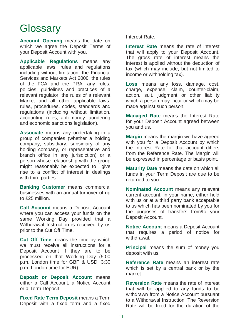### **Glossary**

**Account Opening** means the date on which we agree the Deposit Terms of your Deposit Account with you.

**Applicable Regulations** means any applicable laws, rules and regulations including without limitation, the Financial Services and Markets Act 2000, the rules of the FCA and the PRA, any rules, policies, guidelines and practices of a relevant regulator, the rules of a relevant Market and all other applicable laws, rules, procedures, codes, standards and regulations (including without limitation, accounting rules, anti-money laundering and economic sanctions legislation).

**Associate** means any undertaking in a group of companies (whether a holding company, subsidiary, subsidiary of any holding company, or representative and branch office in any jurisdiction) or a person whose relationship with the group might reasonably be expected to give rise to a conflict of interest in dealings with third parties.

**Banking Customer** means commercial businesses with an annual turnover of up to £25 million.

**Call Account** means a Deposit Account where you can access your funds on the same Working Day provided that a Withdrawal Instruction is received by us prior to the Cut Off Time.

**Cut Off Time** means the time by which we must receive all instructions for a Deposit Account if they are to be processed on that Working Day (5:00 p.m. London time for GBP & USD. 3:30 p.m. London time for EUR).

**Deposit or Deposit Account** means either a Call Account, a Notice Account or a Term Deposit

**Fixed Rate Term Deposit** means a Term Deposit with a fixed term and a fixed Interest Rate.

**Interest Rate** means the rate of interest that will apply to your Deposit Account. The gross rate of interest means the interest is applied without the deduction of tax (which may include, but not limited to income or withholding tax).

**Loss** means any loss, damage, cost, charge, expense, claim, counter-claim, action, suit, judgment or other liability which a person may incur or which may be made against such person.

**Managed Rate** means the Interest Rate for your Deposit Account agreed between you and us.

**Margin** means the margin we have agreed with you for a Deposit Account by which the Interest Rate for that account differs from the Reference Rate. The Margin will be expressed in percentage or basis point.

**Maturity Date** means the date on which all funds in your Term Deposit are due to be returned to you.

**Nominated Account** means any relevant current account, in your name, either held with us or at a third party bank acceptable to us which has been nominated by you for the purposes of transfers from/to your Deposit Account.

**Notice Account** means a Deposit Account that requires a period of notice for withdrawal.

**Principal** means the sum of money you deposit with us.

**Reference Rate** means an interest rate which is set by a central bank or by the market.

**Reversion Rate** means the rate of interest that will be applied to any funds to be withdrawn from a Notice Account pursuant to a Withdrawal Instruction. The Reversion Rate will be fixed for the duration of the